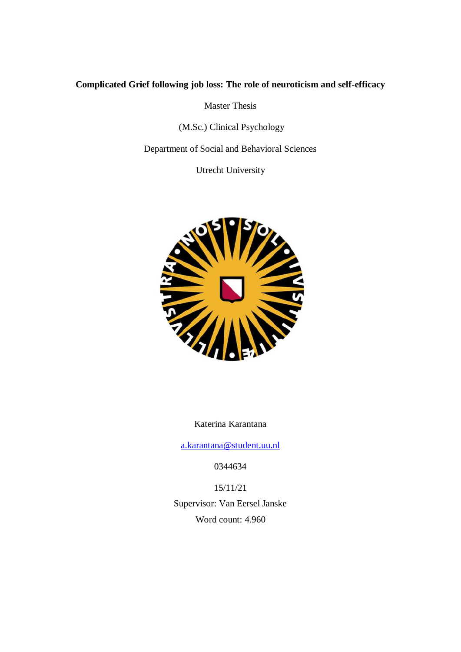# **Complicated Grief following job loss: The role of neuroticism and self-efficacy**

Master Thesis

(M.Sc.) Clinical Psychology

Department of Social and Behavioral Sciences

Utrecht University



Katerina Karantana

[a.karantana@student.uu.nl](mailto:a.karantana@student.uu.nl)

0344634

15/11/21

Supervisor: Van Eersel Janske Word count: 4.960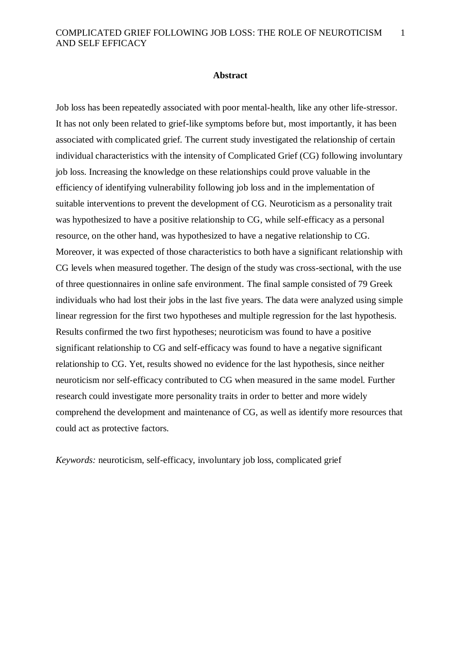1

### **Abstract**

Job loss has been repeatedly associated with poor mental-health, like any other life-stressor. It has not only been related to grief-like symptoms before but, most importantly, it has been associated with complicated grief. The current study investigated the relationship of certain individual characteristics with the intensity of Complicated Grief (CG) following involuntary job loss. Increasing the knowledge on these relationships could prove valuable in the efficiency of identifying vulnerability following job loss and in the implementation of suitable interventions to prevent the development of CG. Neuroticism as a personality trait was hypothesized to have a positive relationship to CG, while self-efficacy as a personal resource, on the other hand, was hypothesized to have a negative relationship to CG. Moreover, it was expected of those characteristics to both have a significant relationship with CG levels when measured together. The design of the study was cross-sectional, with the use of three questionnaires in online safe environment. Τhe final sample consisted of 79 Greek individuals who had lost their jobs in the last five years. The data were analyzed using simple linear regression for the first two hypotheses and multiple regression for the last hypothesis. Results confirmed the two first hypotheses; neuroticism was found to have a positive significant relationship to CG and self-efficacy was found to have a negative significant relationship to CG. Yet, results showed no evidence for the last hypothesis, since neither neuroticism nor self-efficacy contributed to CG when measured in the same model. Further research could investigate more personality traits in order to better and more widely comprehend the development and maintenance of CG, as well as identify more resources that could act as protective factors.

*Keywords:* neuroticism, self-efficacy, involuntary job loss, complicated grief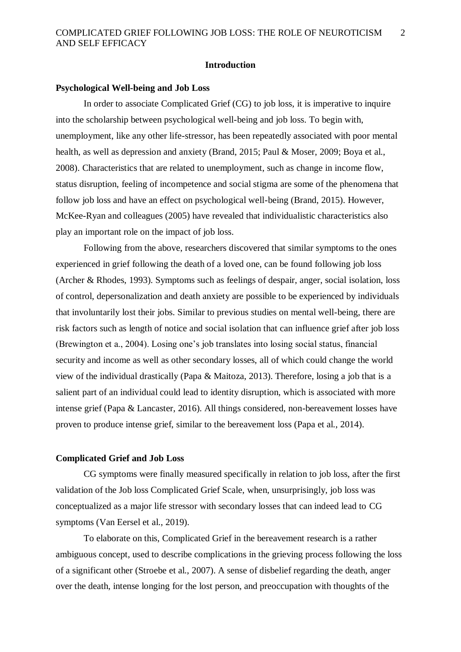### **Introduction**

### **Psychological Well-being and Job Loss**

In order to associate Complicated Grief (CG) to job loss, it is imperative to inquire into the scholarship between psychological well-being and job loss. To begin with, unemployment, like any other life-stressor, has been repeatedly associated with poor mental health, as well as depression and anxiety (Brand, 2015; Paul & Moser, 2009; Boya et al., 2008). Characteristics that are related to unemployment, such as change in income flow, status disruption, feeling of incompetence and social stigma are some of the phenomena that follow job loss and have an effect on psychological well-being (Brand, 2015). However, McKee-Ryan and colleagues (2005) have revealed that individualistic characteristics also play an important role on the impact of job loss.

Following from the above, researchers discovered that similar symptoms to the ones experienced in grief following the death of a loved one, can be found following job loss (Archer & Rhodes, 1993). Symptoms such as feelings of despair, anger, social isolation, loss of control, depersonalization and death anxiety are possible to be experienced by individuals that involuntarily lost their jobs. Similar to previous studies on mental well-being, there are risk factors such as length of notice and social isolation that can influence grief after job loss (Brewington et a., 2004). Losing one's job translates into losing social status, financial security and income as well as other secondary losses, all of which could change the world view of the individual drastically (Papa & Maitoza, 2013). Therefore, losing a job that is a salient part of an individual could lead to identity disruption, which is associated with more intense grief (Papa & Lancaster, 2016). All things considered, non-bereavement losses have proven to produce intense grief, similar to the bereavement loss (Papa et al., 2014).

## **Complicated Grief and Job Loss**

CG symptoms were finally measured specifically in relation to job loss, after the first validation of the Job loss Complicated Grief Scale, when, unsurprisingly, job loss was conceptualized as a major life stressor with secondary losses that can indeed lead to CG symptoms (Van Eersel et al., 2019).

To elaborate on this, Complicated Grief in the bereavement research is a rather ambiguous concept, used to describe complications in the grieving process following the loss of a significant other (Stroebe et al., 2007). A sense of disbelief regarding the death, anger over the death, intense longing for the lost person, and preoccupation with thoughts of the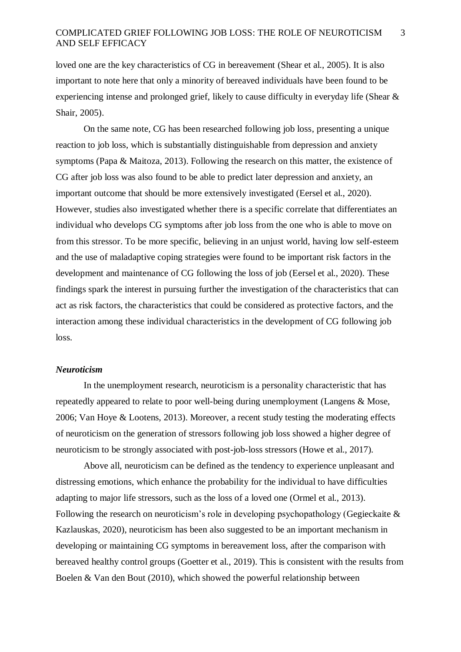loved one are the key characteristics of CG in bereavement (Shear et al., 2005). It is also important to note here that only a minority of bereaved individuals have been found to be experiencing intense and prolonged grief, likely to cause difficulty in everyday life (Shear & Shair, 2005).

On the same note, CG has been researched following job loss, presenting a unique reaction to job loss, which is substantially distinguishable from depression and anxiety symptoms (Papa & Maitoza, 2013). Following the research on this matter, the existence of CG after job loss was also found to be able to predict later depression and anxiety, an important outcome that should be more extensively investigated (Eersel et al., 2020). However, studies also investigated whether there is a specific correlate that differentiates an individual who develops CG symptoms after job loss from the one who is able to move on from this stressor. To be more specific, believing in an unjust world, having low self-esteem and the use of maladaptive coping strategies were found to be important risk factors in the development and maintenance of CG following the loss of job (Eersel et al., 2020). These findings spark the interest in pursuing further the investigation of the characteristics that can act as risk factors, the characteristics that could be considered as protective factors, and the interaction among these individual characteristics in the development of CG following job loss.

# *Neuroticism*

In the unemployment research, neuroticism is a personality characteristic that has repeatedly appeared to relate to poor well-being during unemployment (Langens & Mose, 2006; Van Hoye & Lootens, 2013). Moreover, a recent study testing the moderating effects of neuroticism on the generation of stressors following job loss showed a higher degree of neuroticism to be strongly associated with post-job-loss stressors (Howe et al., 2017).

Above all, neuroticism can be defined as the tendency to experience unpleasant and distressing emotions, which enhance the probability for the individual to have difficulties adapting to major life stressors, such as the loss of a loved one (Ormel et al., 2013). Following the research on neuroticism's role in developing psychopathology (Gegieckaite & Kazlauskas, 2020), neuroticism has been also suggested to be an important mechanism in developing or maintaining CG symptoms in bereavement loss, after the comparison with bereaved healthy control groups (Goetter et al., 2019). This is consistent with the results from Boelen & Van den Bout (2010), which showed the powerful relationship between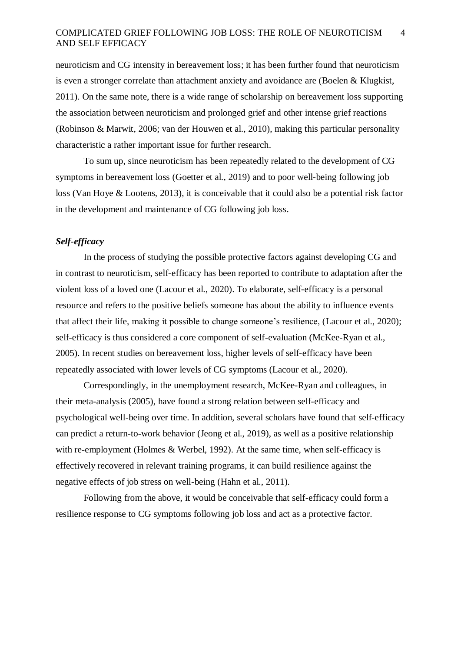neuroticism and CG intensity in bereavement loss; it has been further found that neuroticism is even a stronger correlate than attachment anxiety and avoidance are (Boelen & Klugkist, 2011). On the same note, there is a wide range of scholarship on bereavement loss supporting the association between neuroticism and prolonged grief and other intense grief reactions (Robinson & Marwit, 2006; van der Houwen et al., 2010), making this particular personality characteristic a rather important issue for further research.

To sum up, since neuroticism has been repeatedly related to the development of CG symptoms in bereavement loss (Goetter et al., 2019) and to poor well-being following job loss (Van Hoye & Lootens, 2013), it is conceivable that it could also be a potential risk factor in the development and maintenance of CG following job loss.

# *Self-efficacy*

In the process of studying the possible protective factors against developing CG and in contrast to neuroticism, self-efficacy has been reported to contribute to adaptation after the violent loss of a loved one (Lacour et al., 2020). To elaborate, self-efficacy is a personal resource and refers to the positive beliefs someone has about the ability to influence events that affect their life, making it possible to change someone's resilience, (Lacour et al., 2020); self-efficacy is thus considered a core component of self-evaluation (McKee-Ryan et al., 2005). In recent studies on bereavement loss, higher levels of self-efficacy have been repeatedly associated with lower levels of CG symptoms (Lacour et al., 2020).

Correspondingly, in the unemployment research, McKee-Ryan and colleagues, in their meta-analysis (2005), have found a strong relation between self-efficacy and psychological well-being over time. In addition, several scholars have found that self-efficacy can predict a return-to-work behavior (Jeong et al., 2019), as well as a positive relationship with re-employment (Holmes & Werbel, 1992). At the same time, when self-efficacy is effectively recovered in relevant training programs, it can build resilience against the negative effects of job stress on well-being (Hahn et al., 2011).

Following from the above, it would be conceivable that self-efficacy could form a resilience response to CG symptoms following job loss and act as a protective factor.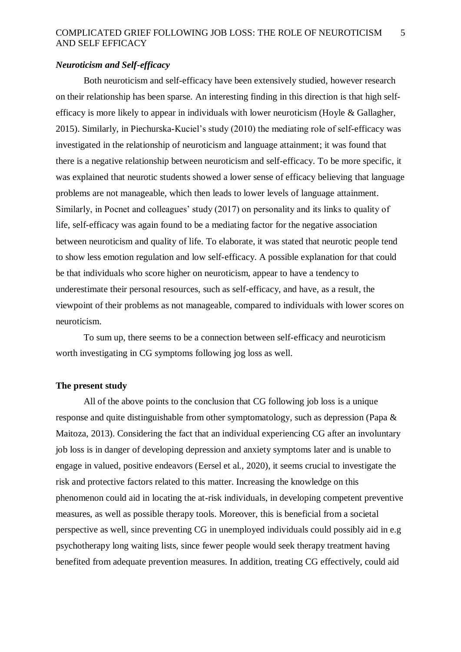# *Neuroticism and Self-efficacy*

Both neuroticism and self-efficacy have been extensively studied, however research on their relationship has been sparse. An interesting finding in this direction is that high selfefficacy is more likely to appear in individuals with lower neuroticism (Hoyle & Gallagher, 2015). Similarly, in Piechurska-Kuciel's study (2010) the mediating role of self-efficacy was investigated in the relationship of neuroticism and language attainment; it was found that there is a negative relationship between neuroticism and self-efficacy. To be more specific, it was explained that neurotic students showed a lower sense of efficacy believing that language problems are not manageable, which then leads to lower levels of language attainment. Similarly, in Pocnet and colleagues' study (2017) on personality and its links to quality of life, self-efficacy was again found to be a mediating factor for the negative association between neuroticism and quality of life. To elaborate, it was stated that neurotic people tend to show less emotion regulation and low self-efficacy. A possible explanation for that could be that individuals who score higher on neuroticism, appear to have a tendency to underestimate their personal resources, such as self-efficacy, and have, as a result, the viewpoint of their problems as not manageable, compared to individuals with lower scores on neuroticism.

To sum up, there seems to be a connection between self-efficacy and neuroticism worth investigating in CG symptoms following jog loss as well.

# **The present study**

All of the above points to the conclusion that CG following job loss is a unique response and quite distinguishable from other symptomatology, such as depression (Papa & Maitoza, 2013). Considering the fact that an individual experiencing CG after an involuntary job loss is in danger of developing depression and anxiety symptoms later and is unable to engage in valued, positive endeavors (Eersel et al., 2020), it seems crucial to investigate the risk and protective factors related to this matter. Increasing the knowledge on this phenomenon could aid in locating the at-risk individuals, in developing competent preventive measures, as well as possible therapy tools. Moreover, this is beneficial from a societal perspective as well, since preventing CG in unemployed individuals could possibly aid in e.g psychotherapy long waiting lists, since fewer people would seek therapy treatment having benefited from adequate prevention measures. In addition, treating CG effectively, could aid

5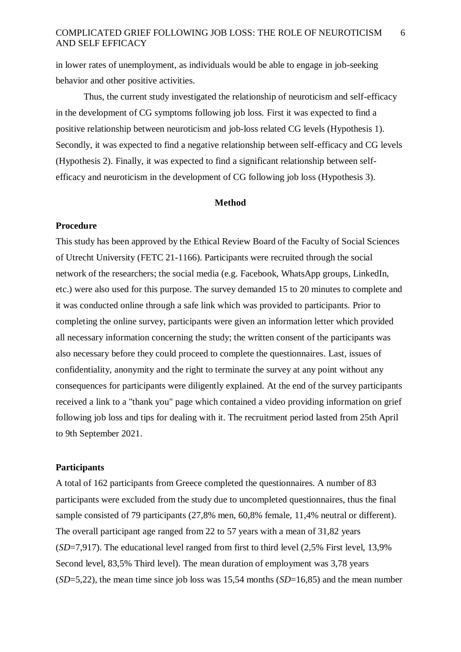in lower rates of unemployment, as individuals would be able to engage in job-seeking behavior and other positive activities.

Thus, the current study investigated the relationship of neuroticism and self-efficacy in the development of CG symptoms following job loss. First it was expected to find a positive relationship between neuroticism and job-loss related CG levels (Hypothesis 1). Secondly, it was expected to find a negative relationship between self-efficacy and CG levels (Hypothesis 2). Finally, it was expected to find a significant relationship between selfefficacy and neuroticism in the development of CG following job loss (Hypothesis 3).

### **Method**

# **Procedure**

This study has been approved by the Ethical Review Board of the Faculty of Social Sciences of Utrecht University (FETC 21-1166). Participants were recruited through the social network of the researchers; the social media (e.g. Facebook, WhatsApp groups, LinkedIn, etc.) were also used for this purpose. The survey demanded 15 to 20 minutes to complete and it was conducted online through a safe link which was provided to participants. Prior to completing the online survey, participants were given an information letter which provided all necessary information concerning the study; the written consent of the participants was also necessary before they could proceed to complete the questionnaires. Last, issues of confidentiality, anonymity and the right to terminate the survey at any point without any consequences for participants were diligently explained. At the end of the survey participants received a link to a "thank you" page which contained a video providing information on grief following job loss and tips for dealing with it. The recruitment period lasted from 25th April to 9th September 2021.

## **Participants**

A total of 162 participants from Greece completed the questionnaires. A number of 83 participants were excluded from the study due to uncompleted questionnaires, thus the final sample consisted of 79 participants (27,8% men, 60,8% female, 11,4% neutral or different). The overall participant age ranged from 22 to 57 years with a mean of 31,82 years (*SD*=7,917). The educational level ranged from first to third level (2,5% First level, 13,9% Second level, 83,5% Third level). The mean duration of employment was 3,78 years (*SD*=5,22), the mean time since job loss was 15,54 months (*SD*=16,85) and the mean number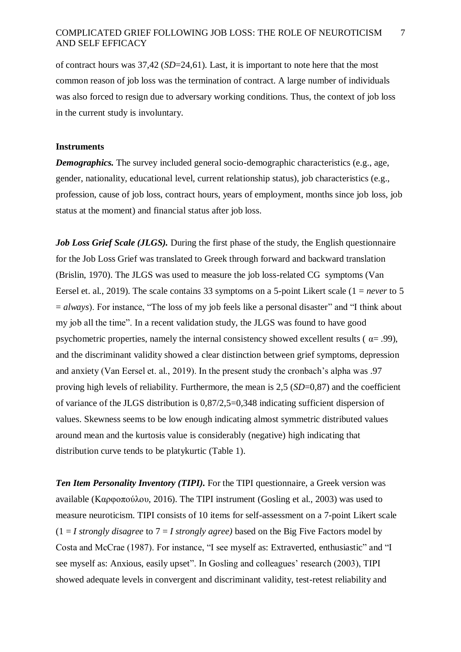of contract hours was 37,42 (*SD*=24,61). Last, it is important to note here that the most common reason of job loss was the termination of contract. A large number of individuals was also forced to resign due to adversary working conditions. Thus, the context of job loss in the current study is involuntary.

## **Instruments**

*Demographics.* The survey included general socio-demographic characteristics (e.g., age, gender, nationality, educational level, current relationship status), job characteristics (e.g., profession, cause of job loss, contract hours, years of employment, months since job loss, job status at the moment) and financial status after job loss.

*Job Loss Grief Scale (JLGS).* During the first phase of the study, the English questionnaire for the Job Loss Grief was translated to Greek through forward and backward translation (Brislin, 1970). The JLGS was used to measure the job loss-related CG symptoms (Van Eersel et. al., 2019). The scale contains 33 symptoms on a 5-point Likert scale (1 = *never* to 5  $a = a \cdot a$ . For instance, "The loss of my job feels like a personal disaster" and "I think about my job all the time". In a recent validation study, the JLGS was found to have good psychometric properties, namely the internal consistency showed excellent results ( $\alpha$ = .99), and the discriminant validity showed a clear distinction between grief symptoms, depression and anxiety (Van Eersel et. al., 2019). In the present study the cronbach's alpha was .97 proving high levels of reliability. Furthermore, the mean is 2,5 (*SD*=0,87) and the coefficient of variance of the JLGS distribution is 0,87/2,5=0,348 indicating sufficient dispersion of values. Skewness seems to be low enough indicating almost symmetric distributed values around mean and the kurtosis value is considerably (negative) high indicating that distribution curve tends to be platykurtic (Table 1).

*Ten Item Personality Inventory (TIPI).* For the TIPI questionnaire, a Greek version was available (Καρφοπούλου, 2016). The TIPI instrument (Gosling et al., 2003) was used to measure neuroticism. TIPI consists of 10 items for self-assessment on a 7-point Likert scale  $(1 = I \, strongly \, disagree \, to \, 7 = I \, strongly \, agree)$  based on the Big Five Factors model by Costa and McCrae (1987). For instance, "I see myself as: Extraverted, enthusiastic" and "I see myself as: Anxious, easily upset". In Gosling and colleagues' research (2003), TIPI showed adequate levels in convergent and discriminant validity, test-retest reliability and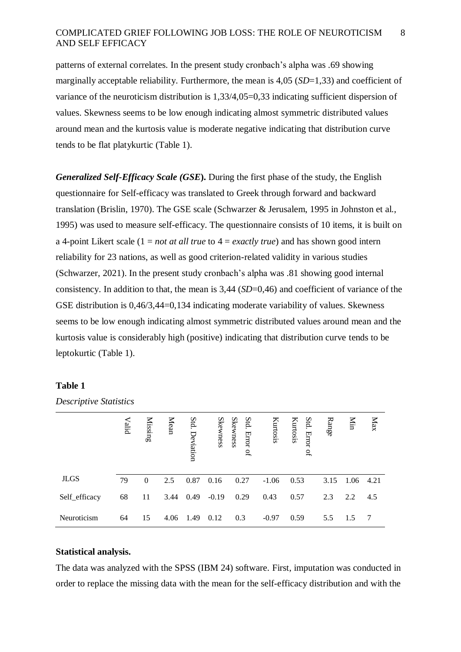patterns of external correlates. In the present study cronbach's alpha was .69 showing marginally acceptable reliability. Furthermore, the mean is 4,05 (*SD*=1,33) and coefficient of variance of the neuroticism distribution is 1,33/4,05=0,33 indicating sufficient dispersion of values. Skewness seems to be low enough indicating almost symmetric distributed values around mean and the kurtosis value is moderate negative indicating that distribution curve tends to be flat platykurtic (Table 1).

*Generalized Self-Efficacy Scale (GSE***).** During the first phase of the study, the English questionnaire for Self-efficacy was translated to Greek through forward and backward translation (Brislin, 1970). The GSE scale (Schwarzer & Jerusalem, 1995 in Johnston et al., 1995) was used to measure self-efficacy. The questionnaire consists of 10 items, it is built on a 4-point Likert scale (1 = *not at all true* to 4 = *exactly true*) and has shown good intern reliability for 23 nations, as well as good criterion-related validity in various studies (Schwarzer, 2021). In the present study cronbach's alpha was .81 showing good internal consistency. In addition to that, the mean is 3,44 (*SD*=0,46) and coefficient of variance of the GSE distribution is 0,46/3,44=0,134 indicating moderate variability of values. Skewness seems to be low enough indicating almost symmetric distributed values around mean and the kurtosis value is considerably high (positive) indicating that distribution curve tends to be leptokurtic (Table 1).

# **Table 1**

|               | Valid | Missing  | Mean | Std.<br>Deviation | Skewness | Skewness<br>Std.<br>Error<br>$\mathbf{a}$ | Kurtosis | Std.<br>Kurtosis<br>Error<br>ď | Range | Min  | Max  |
|---------------|-------|----------|------|-------------------|----------|-------------------------------------------|----------|--------------------------------|-------|------|------|
| <b>JLGS</b>   | 79    | $\Omega$ | 2.5  | 0.87              | 0.16     | 0.27                                      | $-1.06$  | 0.53                           | 3.15  | 1.06 | 4.21 |
| Self_efficacy | 68    | 11       | 3.44 | 0.49              | $-0.19$  | 0.29                                      | 0.43     | 0.57                           | 2.3   | 2.2  | 4.5  |
| Neuroticism   | 64    | 15       | 4.06 | 1.49              | 0.12     | 0.3                                       | $-0.97$  | 0.59                           | 5.5   | 1.5  |      |

*Descriptive Statistics*

# **Statistical analysis.**

The data was analyzed with the SPSS (IBM 24) software. First, imputation was conducted in order to replace the missing data with the mean for the self-efficacy distribution and with the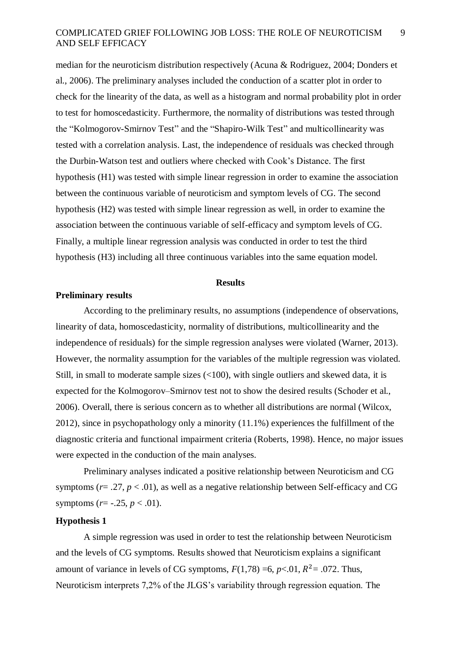median for the neuroticism distribution respectively (Acuna & Rodriguez, 2004; Donders et al., 2006). The preliminary analyses included the conduction of a scatter plot in order to check for the linearity of the data, as well as a histogram and normal probability plot in order to test for homoscedasticity. Furthermore, the normality of distributions was tested through the "Kolmogorov-Smirnov Test" and the "Shapiro-Wilk Test" and multicollinearity was tested with a correlation analysis. Last, the independence of residuals was checked through the Durbin-Watson test and outliers where checked with Cook's Distance. The first hypothesis (H1) was tested with simple linear regression in order to examine the association between the continuous variable of neuroticism and symptom levels of CG. The second hypothesis (H2) was tested with simple linear regression as well, in order to examine the association between the continuous variable of self-efficacy and symptom levels of CG. Finally, a multiple linear regression analysis was conducted in order to test the third hypothesis (H3) including all three continuous variables into the same equation model.

### **Results**

### **Preliminary results**

According to the preliminary results, no assumptions (independence of observations, linearity of data, homoscedasticity, normality of distributions, multicollinearity and the independence of residuals) for the simple regression analyses were violated (Warner, 2013). However, the normality assumption for the variables of the multiple regression was violated. Still, in small to moderate sample sizes  $\left($ <100), with single outliers and skewed data, it is expected for the Kolmogorov–Smirnov test not to show the desired results (Schoder et al., 2006). Overall, there is serious concern as to whether all distributions are normal (Wilcox, 2012), since in psychopathology only a minority (11.1%) experiences the fulfillment of the diagnostic criteria and functional impairment criteria (Roberts, 1998). Hence, no major issues were expected in the conduction of the main analyses.

Preliminary analyses indicated a positive relationship between Neuroticism and CG symptoms ( $r = .27$ ,  $p < .01$ ), as well as a negative relationship between Self-efficacy and CG symptoms ( $r = -.25$ ,  $p < .01$ ).

# **Hypothesis 1**

A simple regression was used in order to test the relationship between Neuroticism and the levels of CG symptoms. Results showed that Neuroticism explains a significant amount of variance in levels of CG symptoms,  $F(1,78) = 6$ ,  $p < 0.01$ ,  $R^2 = .072$ . Thus, Neuroticism interprets 7,2% of the JLGS's variability through regression equation. The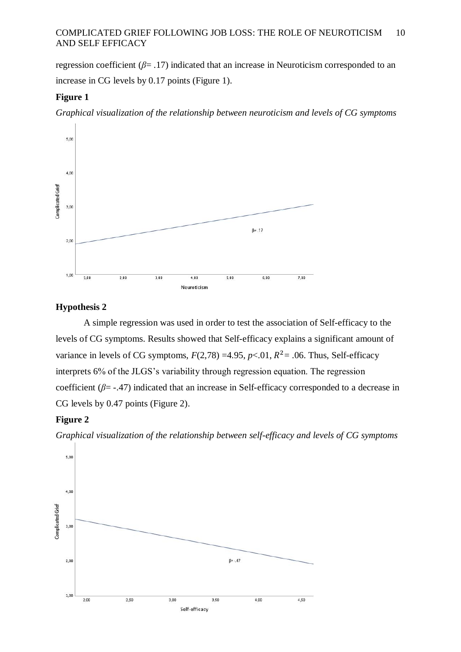regression coefficient (*β*= .17) indicated that an increase in Neuroticism corresponded to an increase in CG levels by 0.17 points (Figure 1).

# **Figure 1**

*Graphical visualization of the relationship between neuroticism and levels of CG symptoms*



# **Hypothesis 2**

A simple regression was used in order to test the association of Self-efficacy to the levels of CG symptoms. Results showed that Self-efficacy explains a significant amount of variance in levels of CG symptoms,  $F(2,78) = 4.95$ ,  $p < .01$ ,  $R^2 = .06$ . Thus, Self-efficacy interprets 6% of the JLGS's variability through regression equation. The regression coefficient (*β*= -.47) indicated that an increase in Self-efficacy corresponded to a decrease in CG levels by 0.47 points (Figure 2).

# **Figure 2**

*Graphical visualization of the relationship between self-efficacy and levels of CG symptoms*

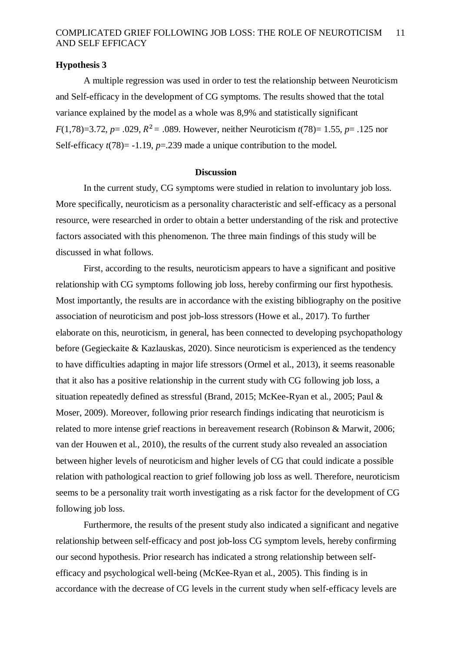# **Hypothesis 3**

A multiple regression was used in order to test the relationship between Neuroticism and Self-efficacy in the development of CG symptoms. The results showed that the total variance explained by the model as a whole was 8,9% and statistically significant *F*(1,78)=3.72, *p*= .029, <sup>2</sup>*=* .089. However, neither Neuroticism *t*(78)= 1.55, *p*= .125 nor Self-efficacy  $t(78)$ = -1.19,  $p=$  -239 made a unique contribution to the model.

## **Discussion**

In the current study, CG symptoms were studied in relation to involuntary job loss. More specifically, neuroticism as a personality characteristic and self-efficacy as a personal resource, were researched in order to obtain a better understanding of the risk and protective factors associated with this phenomenon. The three main findings of this study will be discussed in what follows.

First, according to the results, neuroticism appears to have a significant and positive relationship with CG symptoms following job loss, hereby confirming our first hypothesis. Most importantly, the results are in accordance with the existing bibliography on the positive association of neuroticism and post job-loss stressors (Howe et al., 2017). To further elaborate on this, neuroticism, in general, has been connected to developing psychopathology before (Gegieckaite & Kazlauskas, 2020). Since neuroticism is experienced as the tendency to have difficulties adapting in major life stressors (Ormel et al., 2013), it seems reasonable that it also has a positive relationship in the current study with CG following job loss, a situation repeatedly defined as stressful (Brand, 2015; McKee-Ryan et al., 2005; Paul & Moser, 2009). Moreover, following prior research findings indicating that neuroticism is related to more intense grief reactions in bereavement research (Robinson & Marwit, 2006; van der Houwen et al., 2010), the results of the current study also revealed an association between higher levels of neuroticism and higher levels of CG that could indicate a possible relation with pathological reaction to grief following job loss as well. Therefore, neuroticism seems to be a personality trait worth investigating as a risk factor for the development of CG following job loss.

Furthermore, the results of the present study also indicated a significant and negative relationship between self-efficacy and post job-loss CG symptom levels, hereby confirming our second hypothesis. Prior research has indicated a strong relationship between selfefficacy and psychological well-being (McKee-Ryan et al., 2005). This finding is in accordance with the decrease of CG levels in the current study when self-efficacy levels are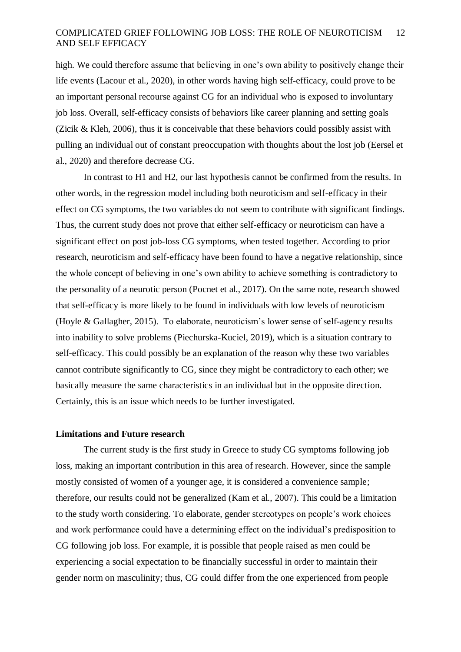high. We could therefore assume that believing in one's own ability to positively change their life events (Lacour et al., 2020), in other words having high self-efficacy, could prove to be an important personal recourse against CG for an individual who is exposed to involuntary job loss. Overall, self-efficacy consists of behaviors like career planning and setting goals (Zicik & Kleh, 2006), thus it is conceivable that these behaviors could possibly assist with pulling an individual out of constant preoccupation with thoughts about the lost job (Eersel et al., 2020) and therefore decrease CG.

In contrast to H1 and H2, our last hypothesis cannot be confirmed from the results. In other words, in the regression model including both neuroticism and self-efficacy in their effect on CG symptoms, the two variables do not seem to contribute with significant findings. Thus, the current study does not prove that either self-efficacy or neuroticism can have a significant effect on post job-loss CG symptoms, when tested together. According to prior research, neuroticism and self-efficacy have been found to have a negative relationship, since the whole concept of believing in one's own ability to achieve something is contradictory to the personality of a neurotic person (Pocnet et al., 2017). On the same note, research showed that self-efficacy is more likely to be found in individuals with low levels of neuroticism (Hoyle & Gallagher, 2015). To elaborate, neuroticism's lower sense of self-agency results into inability to solve problems (Piechurska-Kuciel, 2019), which is a situation contrary to self-efficacy. This could possibly be an explanation of the reason why these two variables cannot contribute significantly to CG, since they might be contradictory to each other; we basically measure the same characteristics in an individual but in the opposite direction. Certainly, this is an issue which needs to be further investigated.

## **Limitations and Future research**

The current study is the first study in Greece to study CG symptoms following job loss, making an important contribution in this area of research. However, since the sample mostly consisted of women of a younger age, it is considered a convenience sample; therefore, our results could not be generalized (Kam et al., 2007). Τhis could be a limitation to the study worth considering. To elaborate, gender stereotypes on people's work choices and work performance could have a determining effect on the individual's predisposition to CG following job loss. For example, it is possible that people raised as men could be experiencing a social expectation to be financially successful in order to maintain their gender norm on masculinity; thus, CG could differ from the one experienced from people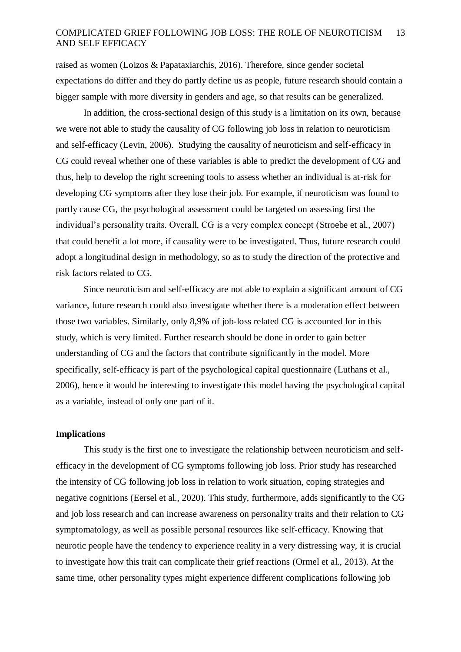raised as women (Loizos & Papataxiarchis, 2016). Therefore, since gender societal expectations do differ and they do partly define us as people, future research should contain a bigger sample with more diversity in genders and age, so that results can be generalized.

In addition, the cross-sectional design of this study is a limitation on its own, because we were not able to study the causality of CG following job loss in relation to neuroticism and self-efficacy (Levin, 2006). Studying the causality of neuroticism and self-efficacy in CG could reveal whether one of these variables is able to predict the development of CG and thus, help to develop the right screening tools to assess whether an individual is at-risk for developing CG symptoms after they lose their job. For example, if neuroticism was found to partly cause CG, the psychological assessment could be targeted on assessing first the individual's personality traits. Overall, CG is a very complex concept (Stroebe et al., 2007) that could benefit a lot more, if causality were to be investigated. Thus, future research could adopt a longitudinal design in methodology, so as to study the direction of the protective and risk factors related to CG.

Since neuroticism and self-efficacy are not able to explain a significant amount of CG variance, future research could also investigate whether there is a moderation effect between those two variables. Similarly, only 8,9% of job-loss related CG is accounted for in this study, which is very limited. Further research should be done in order to gain better understanding of CG and the factors that contribute significantly in the model. More specifically, self-efficacy is part of the psychological capital questionnaire (Luthans et al., 2006), hence it would be interesting to investigate this model having the psychological capital as a variable, instead of only one part of it.

## **Implications**

 This study is the first one to investigate the relationship between neuroticism and selfefficacy in the development of CG symptoms following job loss. Prior study has researched the intensity of CG following job loss in relation to work situation, coping strategies and negative cognitions (Eersel et al., 2020). This study, furthermore, adds significantly to the CG and job loss research and can increase awareness on personality traits and their relation to CG symptomatology, as well as possible personal resources like self-efficacy. Knowing that neurotic people have the tendency to experience reality in a very distressing way, it is crucial to investigate how this trait can complicate their grief reactions (Ormel et al., 2013). At the same time, other personality types might experience different complications following job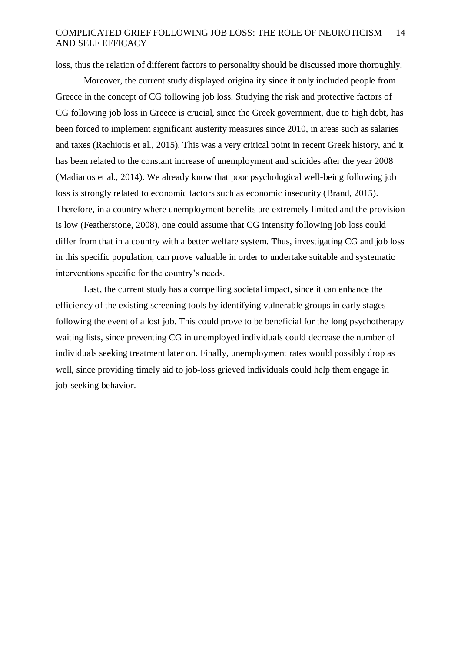loss, thus the relation of different factors to personality should be discussed more thoroughly.

Moreover, the current study displayed originality since it only included people from Greece in the concept of CG following job loss. Studying the risk and protective factors of CG following job loss in Greece is crucial, since the Greek government, due to high debt, has been forced to implement significant austerity measures since 2010, in areas such as salaries and taxes (Rachiotis et al., 2015). This was a very critical point in recent Greek history, and it has been related to the constant increase of unemployment and suicides after the year 2008 (Madianos et al., 2014). We already know that poor psychological well-being following job loss is strongly related to economic factors such as economic insecurity (Brand, 2015). Therefore, in a country where unemployment benefits are extremely limited and the provision is low (Featherstone, 2008), one could assume that CG intensity following job loss could differ from that in a country with a better welfare system. Thus, investigating CG and job loss in this specific population, can prove valuable in order to undertake suitable and systematic interventions specific for the country's needs.

Last, the current study has a compelling societal impact, since it can enhance the efficiency of the existing screening tools by identifying vulnerable groups in early stages following the event of a lost job. This could prove to be beneficial for the long psychotherapy waiting lists, since preventing CG in unemployed individuals could decrease the number of individuals seeking treatment later on. Finally, unemployment rates would possibly drop as well, since providing timely aid to job-loss grieved individuals could help them engage in job-seeking behavior.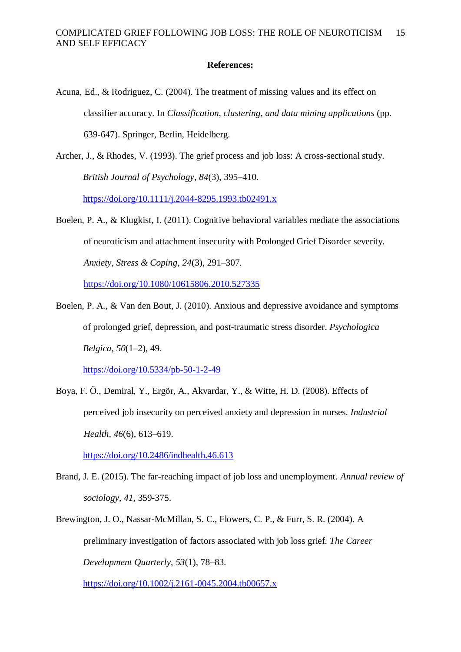# **References:**

- Acuna, Ed., & Rodriguez, C. (2004). The treatment of missing values and its effect on classifier accuracy. In *Classification, clustering, and data mining applications* (pp. 639-647). Springer, Berlin, Heidelberg.
- Archer, J., & Rhodes, V. (1993). The grief process and job loss: A cross-sectional study. *British Journal of Psychology*, *84*(3), 395–410. <https://doi.org/10.1111/j.2044-8295.1993.tb02491.x>
- Boelen, P. A., & Klugkist, I. (2011). Cognitive behavioral variables mediate the associations of neuroticism and attachment insecurity with Prolonged Grief Disorder severity. *Anxiety, Stress & Coping*, *24*(3), 291–307.

<https://doi.org/10.1080/10615806.2010.527335>

Boelen, P. A., & Van den Bout, J. (2010). Anxious and depressive avoidance and symptoms of prolonged grief, depression, and post-traumatic stress disorder. *Psychologica Belgica*, *50*(1–2), 49.

<https://doi.org/10.5334/pb-50-1-2-49>

Boya, F. Ö., Demiral, Y., Ergör, A., Akvardar, Y., & Witte, H. D. (2008). Effects of perceived job insecurity on perceived anxiety and depression in nurses. *Industrial Health*, *46*(6), 613–619.

<https://doi.org/10.2486/indhealth.46.613>

- Brand, J. E. (2015). The far-reaching impact of job loss and unemployment. *Annual review of sociology*, *41*, 359-375.
- Brewington, J. O., Nassar-McMillan, S. C., Flowers, C. P., & Furr, S. R. (2004). A preliminary investigation of factors associated with job loss grief. *The Career Development Quarterly*, *53*(1), 78–83.

<https://doi.org/10.1002/j.2161-0045.2004.tb00657.x>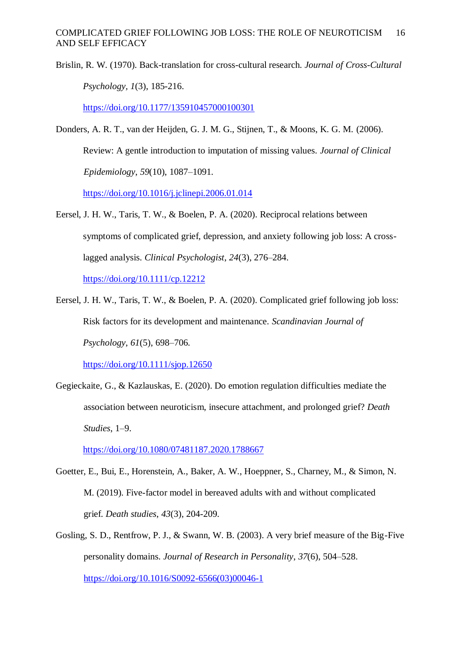Brislin, R. W. (1970). Back-translation for cross-cultural research. *Journal of Cross-Cultural Psychology, 1*(3), 185-216.

<https://doi.org/10.1177/135910457000100301>

Donders, A. R. T., van der Heijden, G. J. M. G., Stijnen, T., & Moons, K. G. M. (2006). Review: A gentle introduction to imputation of missing values. *Journal of Clinical Epidemiology*, *59*(10), 1087–1091.

<https://doi.org/10.1016/j.jclinepi.2006.01.014>

- Eersel, J. H. W., Taris, T. W., & Boelen, P. A. (2020). Reciprocal relations between symptoms of complicated grief, depression, and anxiety following job loss: A crosslagged analysis. *Clinical Psychologist*, *24*(3), 276–284. <https://doi.org/10.1111/cp.12212>
- Eersel, J. H. W., Taris, T. W., & Boelen, P. A. (2020). Complicated grief following job loss: Risk factors for its development and maintenance. *Scandinavian Journal of Psychology*, *61*(5), 698–706.

<https://doi.org/10.1111/sjop.12650>

Gegieckaite, G., & Kazlauskas, E. (2020). Do emotion regulation difficulties mediate the association between neuroticism, insecure attachment, and prolonged grief? *Death Studies*, 1–9.

<https://doi.org/10.1080/07481187.2020.1788667>

- Goetter, E., Bui, E., Horenstein, A., Baker, A. W., Hoeppner, S., Charney, M., & Simon, N. M. (2019). Five-factor model in bereaved adults with and without complicated grief. *Death studies*, *43*(3), 204-209.
- Gosling, S. D., Rentfrow, P. J., & Swann, W. B. (2003). A very brief measure of the Big-Five personality domains. *Journal of Research in Personality*, *37*(6), 504–528. [https://doi.org/10.1016/S0092-6566\(03\)00046-1](https://doi.org/10.1016/S0092-6566(03)00046-1)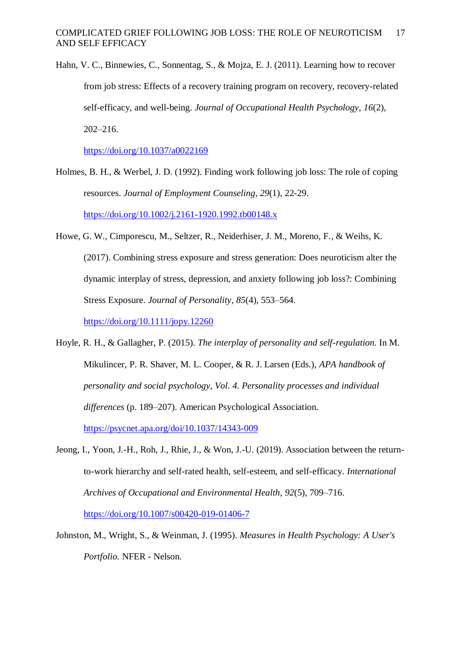Hahn, V. C., Binnewies, C., Sonnentag, S., & Mojza, E. J. (2011). Learning how to recover from job stress: Effects of a recovery training program on recovery, recovery-related self-efficacy, and well-being. *Journal of Occupational Health Psychology*, *16*(2), 202–216.

<https://doi.org/10.1037/a0022169>

- Holmes, B. H., & Werbel, J. D. (1992). Finding work following job loss: The role of coping resources. *Journal of Employment Counseling*, *29*(1), 22-29. <https://doi.org/10.1002/j.2161-1920.1992.tb00148.x>
- Howe, G. W., Cimporescu, M., Seltzer, R., Neiderhiser, J. M., Moreno, F., & Weihs, K. (2017). Combining stress exposure and stress generation: Does neuroticism alter the dynamic interplay of stress, depression, and anxiety following job loss?: Combining Stress Exposure. *Journal of Personality*, *85*(4), 553–564. <https://doi.org/10.1111/jopy.12260>
- Hoyle, R. H., & Gallagher, P. (2015). *The interplay of personality and self-regulation.* In M. Mikulincer, P. R. Shaver, M. L. Cooper, & R. J. Larsen (Eds.), *APA handbook of personality and social psychology, Vol. 4. Personality processes and individual differences* (p. 189–207). American Psychological Association. <https://psycnet.apa.org/doi/10.1037/14343-009>
- Jeong, I., Yoon, J.-H., Roh, J., Rhie, J., & Won, J.-U. (2019). Association between the returnto-work hierarchy and self-rated health, self-esteem, and self-efficacy. *International Archives of Occupational and Environmental Health*, *92*(5), 709–716. <https://doi.org/10.1007/s00420-019-01406-7>
- Johnston, M., Wright, S., & Weinman, J. (1995). *Measures in Health Psychology: A User's Portfolio.* NFER - Nelson.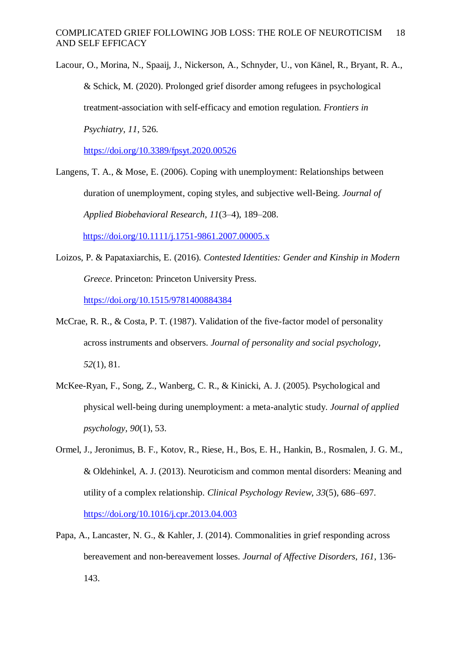Lacour, O., Morina, N., Spaaij, J., Nickerson, A., Schnyder, U., von Känel, R., Bryant, R. A., & Schick, M. (2020). Prolonged grief disorder among refugees in psychological treatment-association with self-efficacy and emotion regulation. *Frontiers in Psychiatry*, *11*, 526.

<https://doi.org/10.3389/fpsyt.2020.00526>

Langens, T. A., & Mose, E. (2006). Coping with unemployment: Relationships between duration of unemployment, coping styles, and subjective well-Being. *Journal of Applied Biobehavioral Research*, *11*(3–4), 189–208.

<https://doi.org/10.1111/j.1751-9861.2007.00005.x>

Loizos, P. & Papataxiarchis, E. (2016). *Contested Identities: Gender and Kinship in Modern Greece*. Princeton: Princeton University Press.

<https://doi.org/10.1515/9781400884384>

- McCrae, R. R., & Costa, P. T. (1987). Validation of the five-factor model of personality across instruments and observers. *Journal of personality and social psychology*, *52*(1), 81.
- McKee-Ryan, F., Song, Z., Wanberg, C. R., & Kinicki, A. J. (2005). Psychological and physical well-being during unemployment: a meta-analytic study. *Journal of applied psychology, 90*(1), 53.
- Ormel, J., Jeronimus, B. F., Kotov, R., Riese, H., Bos, E. H., Hankin, B., Rosmalen, J. G. M., & Oldehinkel, A. J. (2013). Neuroticism and common mental disorders: Meaning and utility of a complex relationship. *Clinical Psychology Review*, *33*(5), 686–697. <https://doi.org/10.1016/j.cpr.2013.04.003>
- Papa, A., Lancaster, N. G., & Kahler, J. (2014). Commonalities in grief responding across bereavement and non-bereavement losses. *Journal of Affective Disorders*, *161*, 136- 143.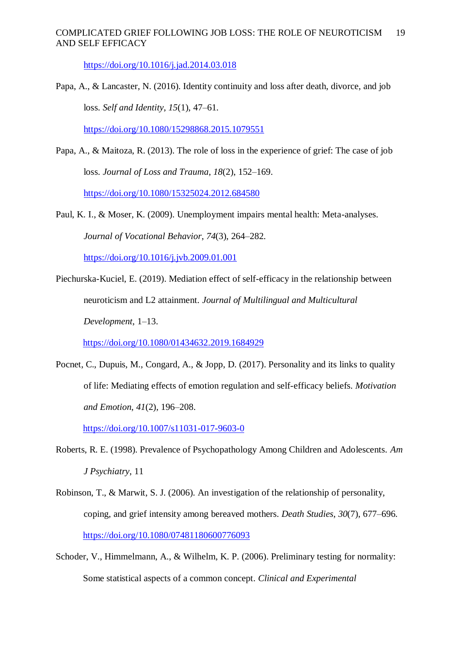<https://doi.org/10.1016/j.jad.2014.03.018>

Papa, A., & Lancaster, N. (2016). Identity continuity and loss after death, divorce, and job loss. *Self and Identity*, *15*(1), 47–61.

<https://doi.org/10.1080/15298868.2015.1079551>

- Papa, A., & Maitoza, R. (2013). The role of loss in the experience of grief: The case of job loss. *Journal of Loss and Trauma*, *18*(2), 152–169. <https://doi.org/10.1080/15325024.2012.684580>
- Paul, K. I., & Moser, K. (2009). Unemployment impairs mental health: Meta-analyses. *Journal of Vocational Behavior*, *74*(3), 264–282. <https://doi.org/10.1016/j.jvb.2009.01.001>
- Piechurska-Kuciel, E. (2019). Mediation effect of self-efficacy in the relationship between neuroticism and L2 attainment. *Journal of Multilingual and Multicultural Development*, 1–13.

<https://doi.org/10.1080/01434632.2019.1684929>

Pocnet, C., Dupuis, M., Congard, A., & Jopp, D. (2017). Personality and its links to quality of life: Mediating effects of emotion regulation and self-efficacy beliefs. *Motivation and Emotion*, *41*(2), 196–208.

<https://doi.org/10.1007/s11031-017-9603-0>

- Roberts, R. E. (1998). Prevalence of Psychopathology Among Children and Adolescents. *Am J Psychiatry*, 11
- Robinson, T., & Marwit, S. J. (2006). An investigation of the relationship of personality, coping, and grief intensity among bereaved mothers. *Death Studies*, *30*(7), 677–696. <https://doi.org/10.1080/07481180600776093>
- Schoder, V., Himmelmann, A., & Wilhelm, K. P. (2006). Preliminary testing for normality: Some statistical aspects of a common concept. *Clinical and Experimental*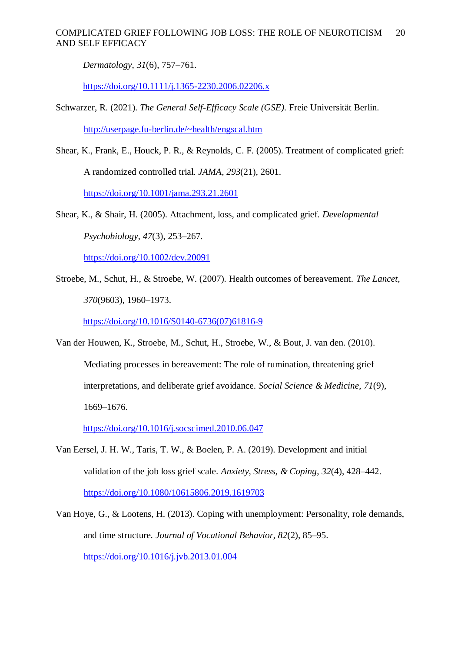*Dermatology*, *31*(6), 757–761.

<https://doi.org/10.1111/j.1365-2230.2006.02206.x>

Schwarzer, R. (2021). *The General Self-Efficacy Scale (GSE).* Freie Universität Berlin.

<http://userpage.fu-berlin.de/~health/engscal.htm>

Shear, K., Frank, E., Houck, P. R., & Reynolds, C. F. (2005). Treatment of complicated grief: A randomized controlled trial. *JAMA*, *293*(21), 2601.

<https://doi.org/10.1001/jama.293.21.2601>

Shear, K., & Shair, H. (2005). Attachment, loss, and complicated grief. *Developmental Psychobiology*, *47*(3), 253–267.

<https://doi.org/10.1002/dev.20091>

Stroebe, M., Schut, H., & Stroebe, W. (2007). Health outcomes of bereavement. *The Lancet*, *370*(9603), 1960–1973.

[https://doi.org/10.1016/S0140-6736\(07\)61816-9](https://doi.org/10.1016/S0140-6736(07)61816-9)

Van der Houwen, K., Stroebe, M., Schut, H., Stroebe, W., & Bout, J. van den. (2010). Mediating processes in bereavement: The role of rumination, threatening grief interpretations, and deliberate grief avoidance. *Social Science & Medicine*, *71*(9), 1669–1676.

<https://doi.org/10.1016/j.socscimed.2010.06.047>

- Van Eersel, J. H. W., Taris, T. W., & Boelen, P. A. (2019). Development and initial validation of the job loss grief scale. *Anxiety, Stress, & Coping*, *32*(4), 428–442. <https://doi.org/10.1080/10615806.2019.1619703>
- Van Hoye, G., & Lootens, H. (2013). Coping with unemployment: Personality, role demands, and time structure. *Journal of Vocational Behavior, 82*(2), 85–95. <https://doi.org/10.1016/j.jvb.2013.01.004>